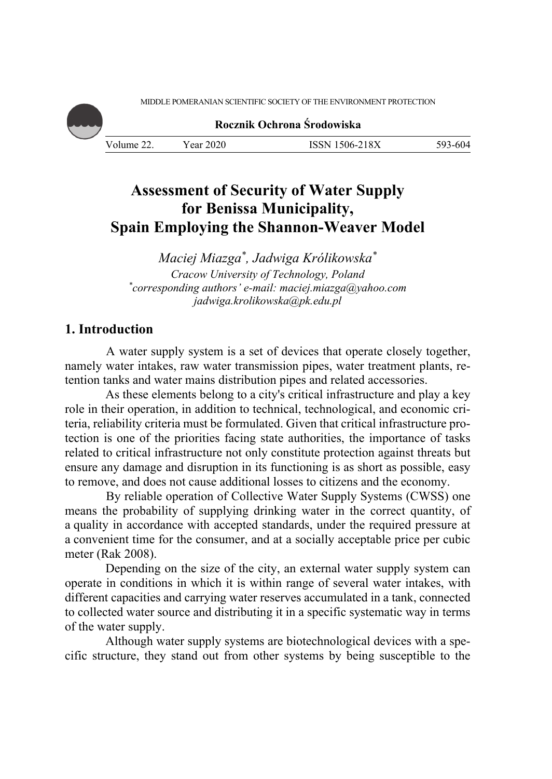MIDDLE POMERANIAN SCIENTIFIC SOCIETY OF THE ENVIRONMENT PROTECTION

**Rocznik Ochrona Środowiska**

Volume 22. Year 2020 ISSN 1506-218X 593-604

# **Assessment of Security of Water Supply for Benissa Municipality, Spain Employing the Shannon-Weaver Model**

*Maciej Miazga\*, Jadwiga Królikowska\* Cracow University of Technology, Poland \* corresponding authors' e-mail: maciej.miazga@yahoo.com jadwiga.krolikowska@pk.edu.pl* 

## **1. Introduction**

 A water supply system is a set of devices that operate closely together, namely water intakes, raw water transmission pipes, water treatment plants, retention tanks and water mains distribution pipes and related accessories.

As these elements belong to a city's critical infrastructure and play a key role in their operation, in addition to technical, technological, and economic criteria, reliability criteria must be formulated. Given that critical infrastructure protection is one of the priorities facing state authorities, the importance of tasks related to critical infrastructure not only constitute protection against threats but ensure any damage and disruption in its functioning is as short as possible, easy to remove, and does not cause additional losses to citizens and the economy.

 By reliable operation of Collective Water Supply Systems (CWSS) one means the probability of supplying drinking water in the correct quantity, of a quality in accordance with accepted standards, under the required pressure at a convenient time for the consumer, and at a socially acceptable price per cubic meter (Rak 2008).

Depending on the size of the city, an external water supply system can operate in conditions in which it is within range of several water intakes, with different capacities and carrying water reserves accumulated in a tank, connected to collected water source and distributing it in a specific systematic way in terms of the water supply.

Although water supply systems are biotechnological devices with a specific structure, they stand out from other systems by being susceptible to the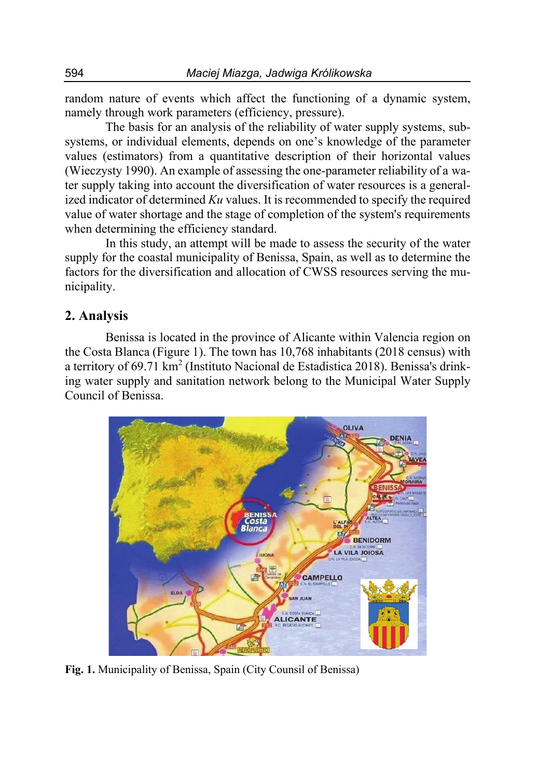random nature of events which affect the functioning of a dynamic system, namely through work parameters (efficiency, pressure).

The basis for an analysis of the reliability of water supply systems, subsystems, or individual elements, depends on one's knowledge of the parameter values (estimators) from a quantitative description of their horizontal values (Wieczysty 1990). An example of assessing the one-parameter reliability of a water supply taking into account the diversification of water resources is a generalized indicator of determined *Ku* values. It is recommended to specify the required value of water shortage and the stage of completion of the system's requirements when determining the efficiency standard.

In this study, an attempt will be made to assess the security of the water supply for the coastal municipality of Benissa, Spain, as well as to determine the factors for the diversification and allocation of CWSS resources serving the municipality.

## **2. Analysis**

Benissa is located in the province of Alicante within Valencia region on the Costa Blanca (Figure 1). The town has 10,768 inhabitants (2018 census) with a territory of 69.71 km<sup>2</sup> (Instituto Nacional de Estadistica 2018). Benissa's drinking water supply and sanitation network belong to the Municipal Water Supply Council of Benissa.



**Fig. 1.** Municipality of Benissa, Spain (City Counsil of Benissa)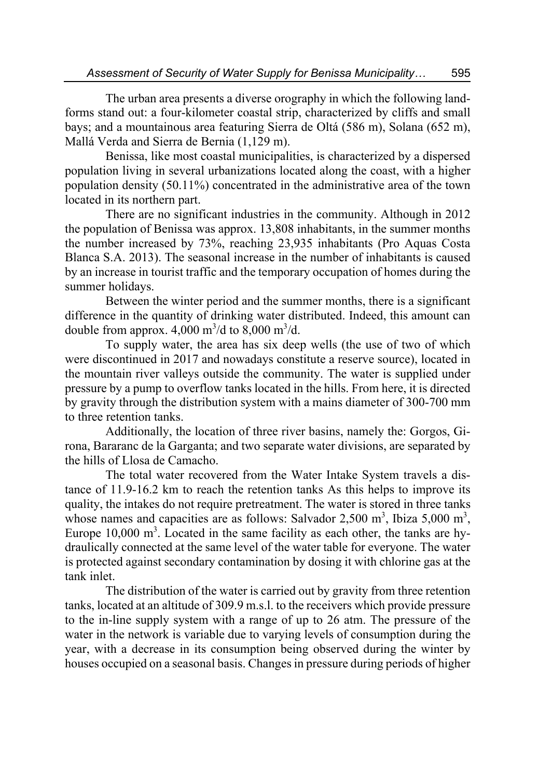The urban area presents a diverse orography in which the following landforms stand out: a four-kilometer coastal strip, characterized by cliffs and small bays; and a mountainous area featuring Sierra de Oltá (586 m), Solana (652 m), Mallá Verda and Sierra de Bernia (1,129 m).

Benissa, like most coastal municipalities, is characterized by a dispersed population living in several urbanizations located along the coast, with a higher population density (50.11%) concentrated in the administrative area of the town located in its northern part.

There are no significant industries in the community. Although in 2012 the population of Benissa was approx. 13,808 inhabitants, in the summer months the number increased by 73%, reaching 23,935 inhabitants (Pro Aquas Costa Blanca S.A. 2013). The seasonal increase in the number of inhabitants is caused by an increase in tourist traffic and the temporary occupation of homes during the summer holidays.

Between the winter period and the summer months, there is a significant difference in the quantity of drinking water distributed. Indeed, this amount can double from approx.  $4,000 \text{ m}^3/\text{d}$  to  $8,000 \text{ m}^3/\text{d}$ .

To supply water, the area has six deep wells (the use of two of which were discontinued in 2017 and nowadays constitute a reserve source), located in the mountain river valleys outside the community. The water is supplied under pressure by a pump to overflow tanks located in the hills. From here, it is directed by gravity through the distribution system with a mains diameter of 300-700 mm to three retention tanks.

Additionally, the location of three river basins, namely the: Gorgos, Girona, Bararanc de la Garganta; and two separate water divisions, are separated by the hills of Llosa de Camacho.

The total water recovered from the Water Intake System travels a distance of 11.9-16.2 km to reach the retention tanks As this helps to improve its quality, the intakes do not require pretreatment. The water is stored in three tanks whose names and capacities are as follows: Salvador 2,500 m<sup>3</sup>, Ibiza 5,000 m<sup>3</sup>, Europe  $10,000 \text{ m}^3$ . Located in the same facility as each other, the tanks are hydraulically connected at the same level of the water table for everyone. The water is protected against secondary contamination by dosing it with chlorine gas at the tank inlet.

The distribution of the water is carried out by gravity from three retention tanks, located at an altitude of 309.9 m.s.l. to the receivers which provide pressure to the in-line supply system with a range of up to 26 atm. The pressure of the water in the network is variable due to varying levels of consumption during the year, with a decrease in its consumption being observed during the winter by houses occupied on a seasonal basis. Changes in pressure during periods of higher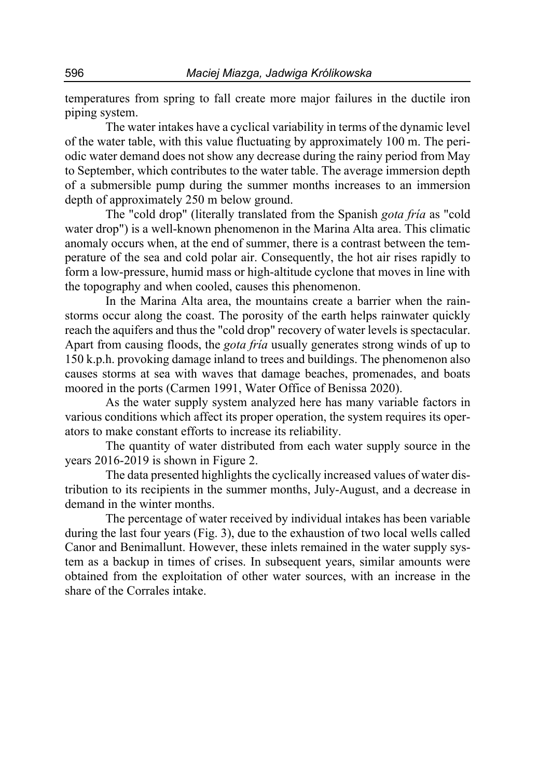temperatures from spring to fall create more major failures in the ductile iron piping system.

The water intakes have a cyclical variability in terms of the dynamic level of the water table, with this value fluctuating by approximately 100 m. The periodic water demand does not show any decrease during the rainy period from May to September, which contributes to the water table. The average immersion depth of a submersible pump during the summer months increases to an immersion depth of approximately 250 m below ground.

The "cold drop" (literally translated from the Spanish *gota fría* as "cold water drop") is a well-known phenomenon in the Marina Alta area. This climatic anomaly occurs when, at the end of summer, there is a contrast between the temperature of the sea and cold polar air. Consequently, the hot air rises rapidly to form a low-pressure, humid mass or high-altitude cyclone that moves in line with the topography and when cooled, causes this phenomenon.

In the Marina Alta area, the mountains create a barrier when the rainstorms occur along the coast. The porosity of the earth helps rainwater quickly reach the aquifers and thus the "cold drop" recovery of water levels is spectacular. Apart from causing floods, the *gota fría* usually generates strong winds of up to 150 k.p.h. provoking damage inland to trees and buildings. The phenomenon also causes storms at sea with waves that damage beaches, promenades, and boats moored in the ports (Carmen 1991, Water Office of Benissa 2020).

As the water supply system analyzed here has many variable factors in various conditions which affect its proper operation, the system requires its operators to make constant efforts to increase its reliability.

The quantity of water distributed from each water supply source in the years 2016-2019 is shown in Figure 2.

The data presented highlights the cyclically increased values of water distribution to its recipients in the summer months, July-August, and a decrease in demand in the winter months.

The percentage of water received by individual intakes has been variable during the last four years (Fig. 3), due to the exhaustion of two local wells called Canor and Benimallunt. However, these inlets remained in the water supply system as a backup in times of crises. In subsequent years, similar amounts were obtained from the exploitation of other water sources, with an increase in the share of the Corrales intake.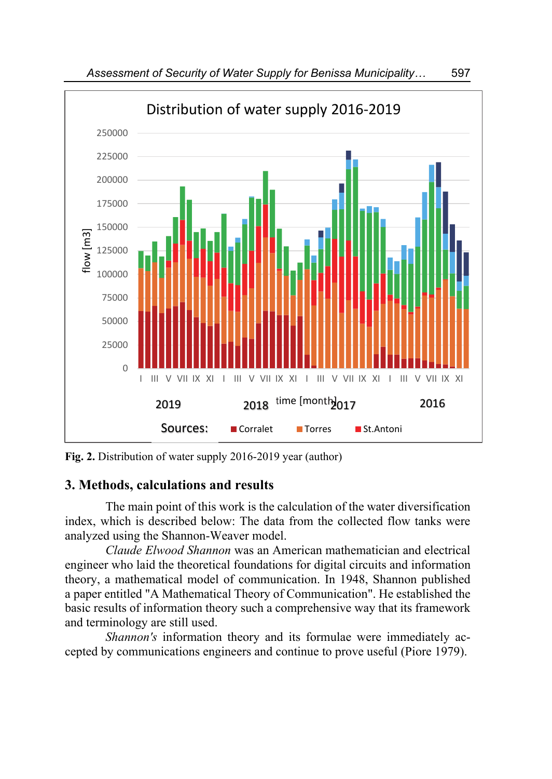

**Fig. 2.** Distribution of water supply 2016-2019 year (author)

# **3. Methods, calculations and results**

The main point of this work is the calculation of the water diversification index, which is described below: The data from the collected flow tanks were analyzed using the Shannon-Weaver model.

*Claude Elwood Shannon* was an American mathematician and electrical engineer who laid the theoretical foundations for digital circuits and information theory, a mathematical model of communication. In 1948, Shannon published a paper entitled "A Mathematical Theory of Communication". He established the basic results of information theory such a comprehensive way that its framework and terminology are still used.

*Shannon's* information theory and its formulae were immediately accepted by communications engineers and continue to prove useful (Piore 1979).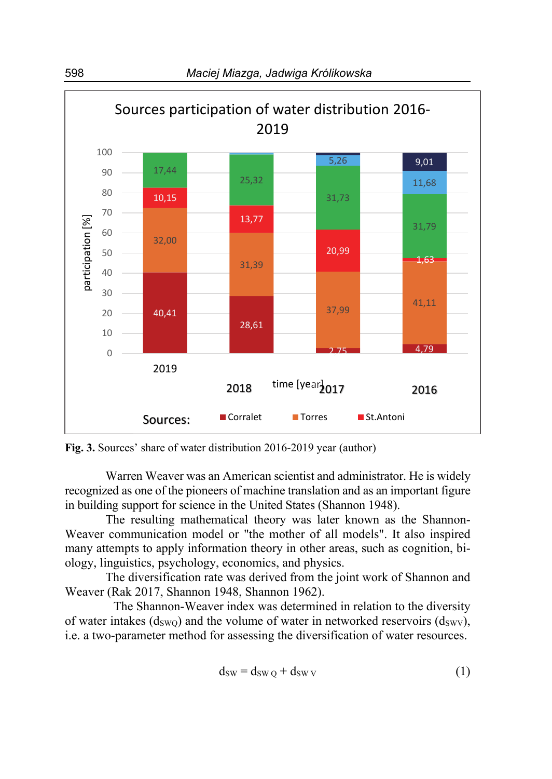

**Fig. 3.** Sources' share of water distribution 2016-2019 year (author)

Warren Weaver was an American scientist and administrator. He is widely recognized as one of the pioneers of machine translation and as an important figure in building support for science in the United States (Shannon 1948).

The resulting mathematical theory was later known as the Shannon-Weaver communication model or "the mother of all models". It also inspired many attempts to apply information theory in other areas, such as cognition, biology, linguistics, psychology, economics, and physics.

The diversification rate was derived from the joint work of Shannon and Weaver (Rak 2017, Shannon 1948, Shannon 1962).

The Shannon-Weaver index was determined in relation to the diversity of water intakes  $(d_{SWQ})$  and the volume of water in networked reservoirs  $(d_{SWV})$ , i.e. a two-parameter method for assessing the diversification of water resources.

$$
d_{SW} = d_{SWQ} + d_{SWV}
$$
 (1)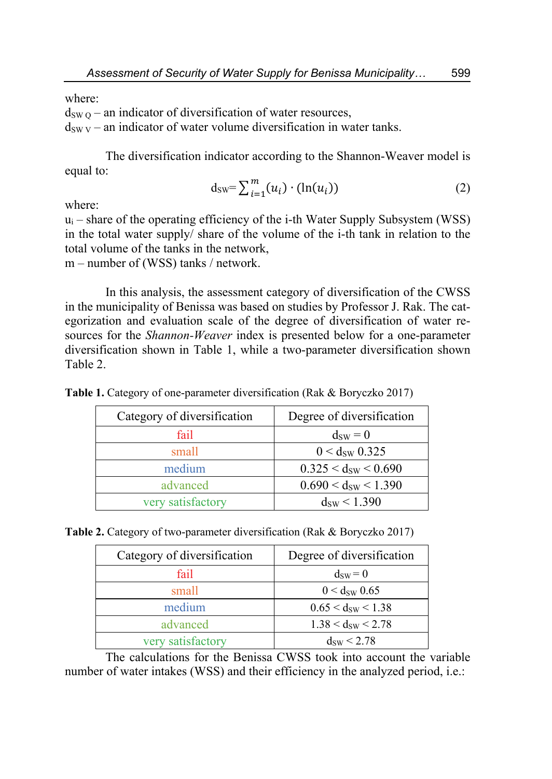where:

 $d_{SWO}$  – an indicator of diversification of water resources,

 $d_{\text{SW V}}$  – an indicator of water volume diversification in water tanks.

The diversification indicator according to the Shannon-Weaver model is equal to:

$$
d_{\text{SW}} = \sum_{i=1}^{m} (u_i) \cdot (\ln(u_i)) \tag{2}
$$

where:

 $u_i$  – share of the operating efficiency of the i-th Water Supply Subsystem (WSS) in the total water supply/ share of the volume of the i-th tank in relation to the total volume of the tanks in the network,

m – number of (WSS) tanks / network.

In this analysis, the assessment category of diversification of the CWSS in the municipality of Benissa was based on studies by Professor J. Rak. The categorization and evaluation scale of the degree of diversification of water resources for the *Shannon-Weaver* index is presented below for a one-parameter diversification shown in Table 1, while a two-parameter diversification shown Table 2.

| Category of diversification | Degree of diversification |
|-----------------------------|---------------------------|
| fail                        | $d_{\text{SW}}=0$         |
| small                       | $0 < d_{SW}$ 0.325        |
| medium                      | $0.325 < d_{SW} < 0.690$  |
| advanced                    | $0.690 < d_{sw} < 1.390$  |
| very satisfactory           | $d_{SW}$ < 1.390          |

**Table 1.** Category of one-parameter diversification (Rak & Boryczko 2017)

| Category of diversification | Degree of diversification |
|-----------------------------|---------------------------|
| fail                        | $d_{SW} = 0$              |
| small                       | $0 < d_{\text{sw}} 0.65$  |
| medium                      | $0.65 < d_{SW} < 1.38$    |
| advanced                    | $1.38 < d_{sw} < 2.78$    |
| very satisfactory           | $d_{SW}$ < 2.78           |

The calculations for the Benissa CWSS took into account the variable number of water intakes (WSS) and their efficiency in the analyzed period, i.e.: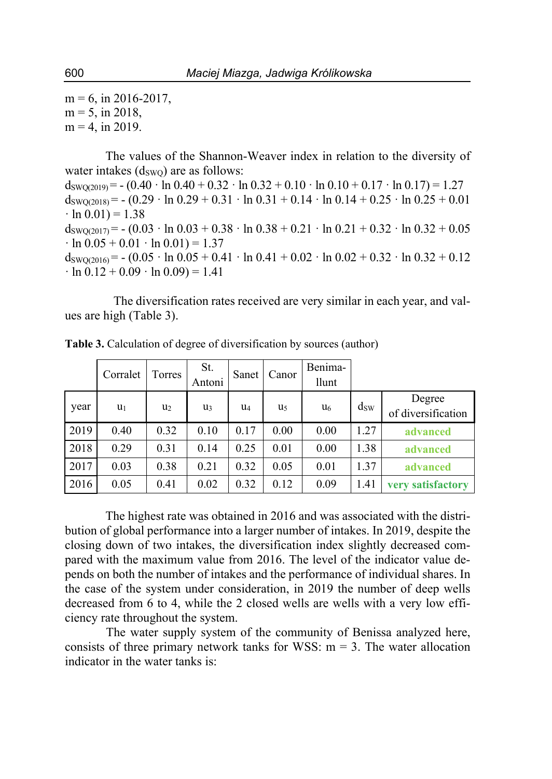$m = 6$ , in 2016-2017,  $m = 5$ , in 2018,  $m = 4$ , in 2019.

The values of the Shannon-Weaver index in relation to the diversity of water intakes  $(d_{\text{SWO}})$  are as follows:  $d_{\text{SWO}(2019)} = - (0.40 \cdot \ln 0.40 + 0.32 \cdot \ln 0.32 + 0.10 \cdot \ln 0.10 + 0.17 \cdot \ln 0.17) = 1.27$  $d_{\text{SWO}(2018)} = - (0.29 \cdot \ln 0.29 + 0.31 \cdot \ln 0.31 + 0.14 \cdot \ln 0.14 + 0.25 \cdot \ln 0.25 + 0.01$  $\cdot \ln 0.01$  = 1.38  $d_{\text{SWO}(2017)} = -(0.03 \cdot \ln 0.03 + 0.38 \cdot \ln 0.38 + 0.21 \cdot \ln 0.21 + 0.32 \cdot \ln 0.32 + 0.05$  $\cdot \ln 0.05 + 0.01 \cdot \ln 0.01 = 1.37$  $d_{\text{SWO}(2016)} = - (0.05 \cdot \ln 0.05 + 0.41 \cdot \ln 0.41 + 0.02 \cdot \ln 0.02 + 0.32 \cdot \ln 0.32 + 0.12$  $\cdot \ln 0.12 + 0.09 \cdot \ln 0.09 = 1.41$ 

The diversification rates received are very similar in each year, and values are high (Table 3).

|      | Corralet | Torres         | St.<br>Antoni  | Sanet | Canor          | Benima-<br><b>llunt</b> |          |                              |
|------|----------|----------------|----------------|-------|----------------|-------------------------|----------|------------------------------|
| year | $u_1$    | u <sub>2</sub> | U <sub>3</sub> | U4    | u <sub>5</sub> | u <sub>6</sub>          | $d_{SW}$ | Degree<br>of diversification |
| 2019 | 0.40     | 0.32           | 0.10           | 0.17  | 0.00           | 0.00                    | 1.27     | advanced                     |
| 2018 | 0.29     | 0.31           | 0.14           | 0.25  | 0.01           | 0.00                    | 1.38     | advanced                     |
| 2017 | 0.03     | 0.38           | 0.21           | 0.32  | 0.05           | 0.01                    | 1.37     | advanced                     |
| 2016 | 0.05     | 0.41           | 0.02           | 0.32  | 0.12           | 0.09                    | 1.41     | very satisfactory            |

**Table 3.** Calculation of degree of diversification by sources (author)

The highest rate was obtained in 2016 and was associated with the distribution of global performance into a larger number of intakes. In 2019, despite the closing down of two intakes, the diversification index slightly decreased compared with the maximum value from 2016. The level of the indicator value depends on both the number of intakes and the performance of individual shares. In the case of the system under consideration, in 2019 the number of deep wells decreased from 6 to 4, while the 2 closed wells are wells with a very low efficiency rate throughout the system.

 The water supply system of the community of Benissa analyzed here, consists of three primary network tanks for WSS:  $m = 3$ . The water allocation indicator in the water tanks is: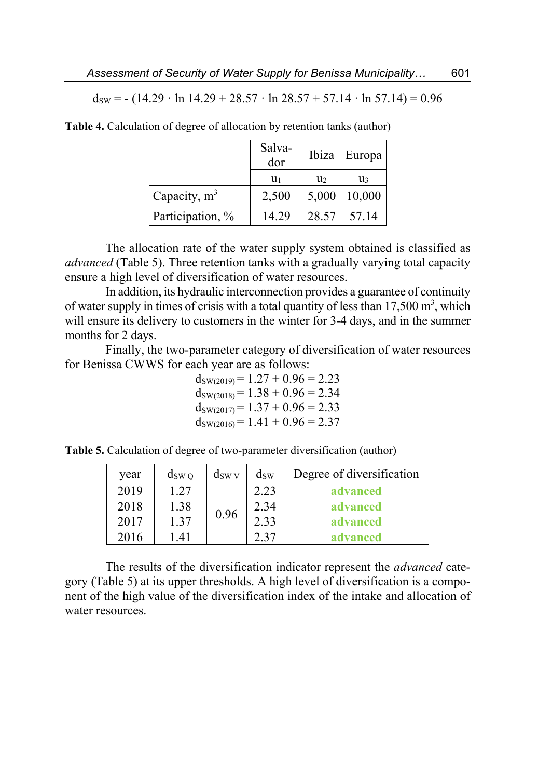$d_{SW} = - (14.29 \cdot \ln 14.29 + 28.57 \cdot \ln 28.57 + 57.14 \cdot \ln 57.14) = 0.96$ 

|                  | Salva-<br>dor | Ibiza | Europa |  |
|------------------|---------------|-------|--------|--|
|                  | $u_1$         | U2    | u٩     |  |
| Capacity, $m^3$  | 2,500         | 5,000 | 10,000 |  |
| Participation, % | 14.29         | 28.57 | 57.14  |  |

**Table 4.** Calculation of degree of allocation by retention tanks (author)

The allocation rate of the water supply system obtained is classified as *advanced* (Table 5). Three retention tanks with a gradually varying total capacity ensure a high level of diversification of water resources.

In addition, its hydraulic interconnection provides a guarantee of continuity of water supply in times of crisis with a total quantity of less than  $17,500 \text{ m}^3$ , which will ensure its delivery to customers in the winter for 3-4 days, and in the summer months for 2 days.

Finally, the two-parameter category of diversification of water resources for Benissa CWWS for each year are as follows:

> $d_{SW(2019)} = 1.27 + 0.96 = 2.23$  $d_{SW(2018)} = 1.38 + 0.96 = 2.34$  $d_{SW(2017)} = 1.37 + 0.96 = 2.33$  $d_{SW(2016)} = 1.41 + 0.96 = 2.37$

**Table 5.** Calculation of degree of two-parameter diversification (author)

| year | $d_{SWQ}$  | $d_{SWV}$ | $d_{SW}$ | Degree of diversification |
|------|------------|-----------|----------|---------------------------|
| 2019 | 1.27       |           | 2.23     | advanced                  |
| 2018 | 1.38       | 0.96      | 2.34     | advanced                  |
| 2017 | 1.37       |           | 2.33     | advanced                  |
| 2016 | $\Delta$ 1 |           | 2.37     | advanced                  |

The results of the diversification indicator represent the *advanced* category (Table 5) at its upper thresholds. A high level of diversification is a component of the high value of the diversification index of the intake and allocation of water resources.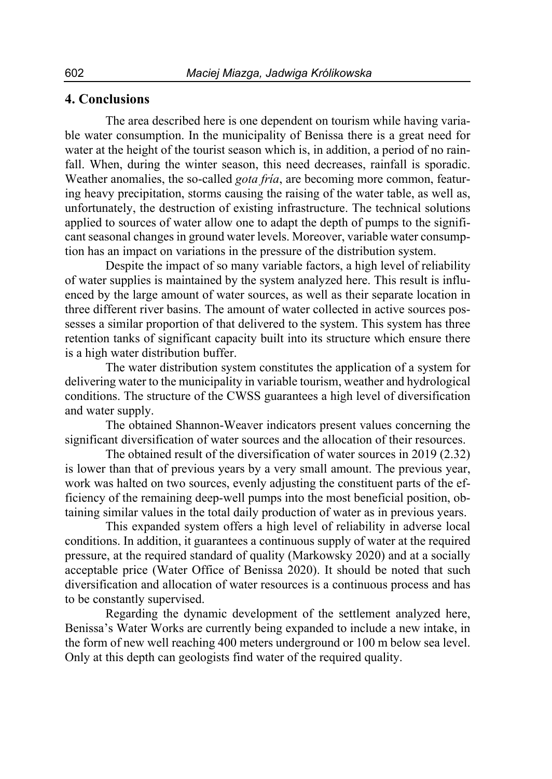## **4. Conclusions**

The area described here is one dependent on tourism while having variable water consumption. In the municipality of Benissa there is a great need for water at the height of the tourist season which is, in addition, a period of no rainfall. When, during the winter season, this need decreases, rainfall is sporadic. Weather anomalies, the so-called *gota fría*, are becoming more common, featuring heavy precipitation, storms causing the raising of the water table, as well as, unfortunately, the destruction of existing infrastructure. The technical solutions applied to sources of water allow one to adapt the depth of pumps to the significant seasonal changes in ground water levels. Moreover, variable water consumption has an impact on variations in the pressure of the distribution system.

Despite the impact of so many variable factors, a high level of reliability of water supplies is maintained by the system analyzed here. This result is influenced by the large amount of water sources, as well as their separate location in three different river basins. The amount of water collected in active sources possesses a similar proportion of that delivered to the system. This system has three retention tanks of significant capacity built into its structure which ensure there is a high water distribution buffer.

The water distribution system constitutes the application of a system for delivering water to the municipality in variable tourism, weather and hydrological conditions. The structure of the CWSS guarantees a high level of diversification and water supply.

The obtained Shannon-Weaver indicators present values concerning the significant diversification of water sources and the allocation of their resources.

The obtained result of the diversification of water sources in 2019 (2.32) is lower than that of previous years by a very small amount. The previous year, work was halted on two sources, evenly adjusting the constituent parts of the efficiency of the remaining deep-well pumps into the most beneficial position, obtaining similar values in the total daily production of water as in previous years.

This expanded system offers a high level of reliability in adverse local conditions. In addition, it guarantees a continuous supply of water at the required pressure, at the required standard of quality (Markowsky 2020) and at a socially acceptable price (Water Office of Benissa 2020). It should be noted that such diversification and allocation of water resources is a continuous process and has to be constantly supervised.

Regarding the dynamic development of the settlement analyzed here, Benissa's Water Works are currently being expanded to include a new intake, in the form of new well reaching 400 meters underground or 100 m below sea level. Only at this depth can geologists find water of the required quality.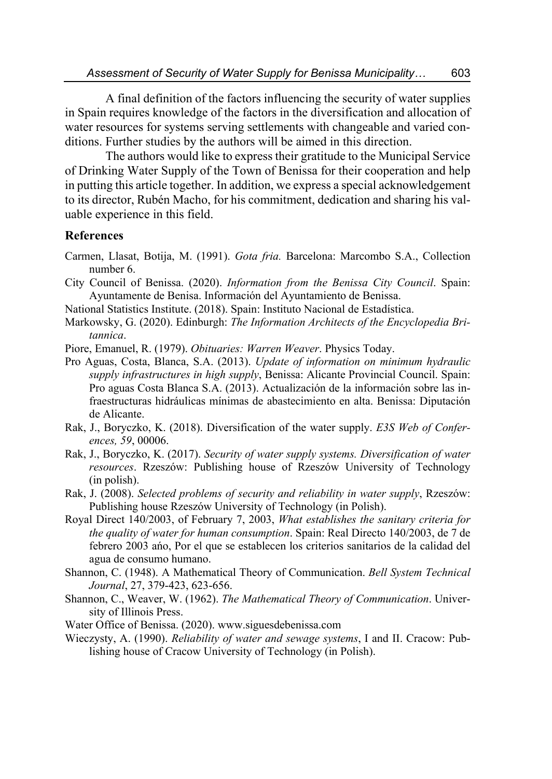A final definition of the factors influencing the security of water supplies in Spain requires knowledge of the factors in the diversification and allocation of water resources for systems serving settlements with changeable and varied conditions. Further studies by the authors will be aimed in this direction.

The authors would like to express their gratitude to the Municipal Service of Drinking Water Supply of the Town of Benissa for their cooperation and help in putting this article together. In addition, we express a special acknowledgement to its director, Rubén Macho, for his commitment, dedication and sharing his valuable experience in this field.

## **References**

- Carmen, Llasat, Botija, M. (1991). *Gota fria.* Barcelona: Marcombo S.A., Collection number 6.
- City Council of Benissa. (2020). *Information from the Benissa City Council*. Spain: Ayuntamente de Benisa. Información del Ayuntamiento de Benissa.
- National Statistics Institute. (2018). Spain: Instituto Nacional de Estadística.
- Markowsky, G. (2020). Edinburgh: *The Information Architects of the Encyclopedia Britannica*.
- Piore, Emanuel, R. (1979). *Obituaries: Warren Weaver*. Physics Today.
- Pro Aguas, Costa, Blanca, S.A. (2013). *Update of information on minimum hydraulic supply infrastructures in high supply*, Benissa: Alicante Provincial Council. Spain: Pro aguas Costa Blanca S.A. (2013). Actualización de la información sobre las infraestructuras hidráulicas mínimas de abastecimiento en alta. Benissa: Diputación de Alicante.
- Rak, J., Boryczko, K. (2018). Diversification of the water supply. *E3S Web of Conferences, 59*, 00006.
- Rak, J., Boryczko, K. (2017). *Security of water supply systems. Diversification of water resources*. Rzeszów: Publishing house of Rzeszów University of Technology (in polish).
- Rak, J. (2008). *Selected problems of security and reliability in water supply*, Rzeszów: Publishing house Rzeszów University of Technology (in Polish).
- Royal Direct 140/2003, of February 7, 2003, *What establishes the sanitary criteria for the quality of water for human consumption*. Spain: Real Directo 140/2003, de 7 de febrero 2003 ańo, Por el que se establecen los criterios sanitarios de la calidad del agua de consumo humano.
- Shannon, C. (1948). A Mathematical Theory of Communication. *Bell System Technical Journal*, 27, 379-423, 623-656.
- Shannon, C., Weaver, W. (1962). *The Mathematical Theory of Communication*. University of Illinois Press.
- Water Office of Benissa. (2020). www.siguesdebenissa.com
- Wieczysty, A. (1990). *Reliability of water and sewage systems*, I and II. Cracow: Publishing house of Cracow University of Technology (in Polish).